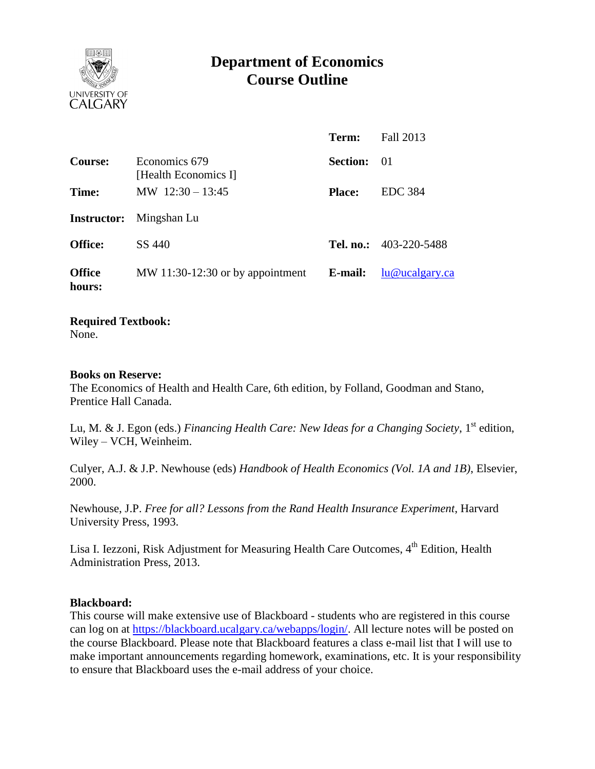

# **Department of Economics Course Outline**

|                         |                                       | Term:              | Fall 2013                     |
|-------------------------|---------------------------------------|--------------------|-------------------------------|
| <b>Course:</b>          | Economics 679<br>[Health Economics I] | <b>Section:</b> 01 |                               |
| Time:                   | MW $12:30 - 13:45$                    | <b>Place:</b>      | <b>EDC</b> 384                |
|                         | <b>Instructor:</b> Mingshan Lu        |                    |                               |
| <b>Office:</b>          | SS 440                                |                    | <b>Tel. no.:</b> 403-220-5488 |
| <b>Office</b><br>hours: | MW 11:30-12:30 or by appointment      | E-mail:            | lu@ucalgary.ca                |

## **Required Textbook:**

None.

#### **Books on Reserve:**

The Economics of Health and Health Care, 6th edition, by Folland, Goodman and Stano, Prentice Hall Canada.

Lu, M. & J. Egon (eds.) *Financing Health Care: New Ideas for a Changing Society*, 1<sup>st</sup> edition, Wiley – VCH, Weinheim.

Culyer, A.J. & J.P. Newhouse (eds) *Handbook of Health Economics (Vol. 1A and 1B)*, Elsevier, 2000.

Newhouse, J.P. *Free for all? Lessons from the Rand Health Insurance Experiment*, Harvard University Press, 1993.

Lisa I. Iezzoni, Risk Adjustment for Measuring Health Care Outcomes, 4<sup>th</sup> Edition, Health Administration Press, 2013.

## **Blackboard:**

This course will make extensive use of Blackboard - students who are registered in this course can log on at [https://blackboard.ucalgary.ca/webapps/login/.](https://blackboard.ucalgary.ca/webapps/login/) All lecture notes will be posted on the course Blackboard. Please note that Blackboard features a class e-mail list that I will use to make important announcements regarding homework, examinations, etc. It is your responsibility to ensure that Blackboard uses the e-mail address of your choice.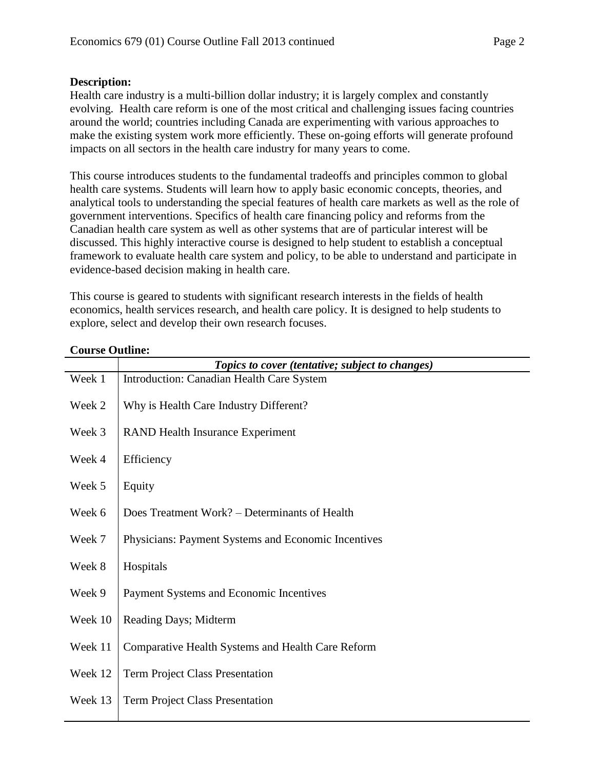Health care industry is a multi-billion dollar industry; it is largely complex and constantly evolving. Health care reform is one of the most critical and challenging issues facing countries around the world; countries including Canada are experimenting with various approaches to make the existing system work more efficiently. These on-going efforts will generate profound impacts on all sectors in the health care industry for many years to come.

This course introduces students to the fundamental tradeoffs and principles common to global health care systems. Students will learn how to apply basic economic concepts, theories, and analytical tools to understanding the special features of health care markets as well as the role of government interventions. Specifics of health care financing policy and reforms from the Canadian health care system as well as other systems that are of particular interest will be discussed. This highly interactive course is designed to help student to establish a conceptual framework to evaluate health care system and policy, to be able to understand and participate in evidence-based decision making in health care.

This course is geared to students with significant research interests in the fields of health economics, health services research, and health care policy. It is designed to help students to explore, select and develop their own research focuses.

|         | Topics to cover (tentative; subject to changes)          |
|---------|----------------------------------------------------------|
| Week 1  | Introduction: Canadian Health Care System                |
| Week 2  | Why is Health Care Industry Different?                   |
| Week 3  | <b>RAND Health Insurance Experiment</b>                  |
| Week 4  | Efficiency                                               |
| Week 5  | Equity                                                   |
| Week 6  | Does Treatment Work? – Determinants of Health            |
| Week 7  | Physicians: Payment Systems and Economic Incentives      |
| Week 8  | Hospitals                                                |
| Week 9  | Payment Systems and Economic Incentives                  |
| Week 10 | Reading Days; Midterm                                    |
| Week 11 | <b>Comparative Health Systems and Health Care Reform</b> |
| Week 12 | <b>Term Project Class Presentation</b>                   |
| Week 13 | <b>Term Project Class Presentation</b>                   |